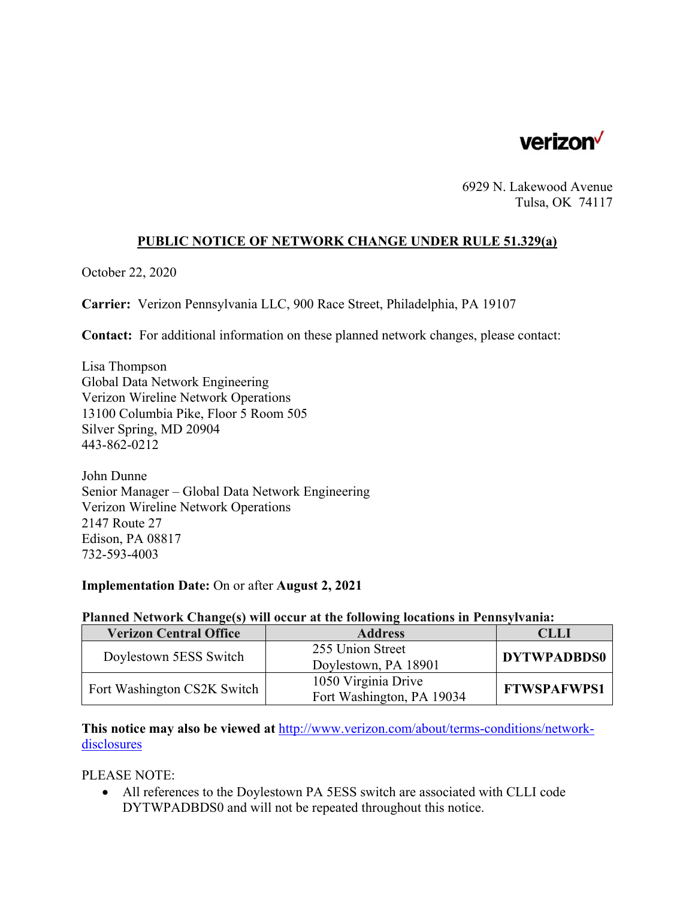

6929 N. Lakewood Avenue Tulsa, OK 74117

### **PUBLIC NOTICE OF NETWORK CHANGE UNDER RULE 51.329(a)**

October 22, 2020

**Carrier:** Verizon Pennsylvania LLC, 900 Race Street, Philadelphia, PA 19107

**Contact:** For additional information on these planned network changes, please contact:

Lisa Thompson Global Data Network Engineering Verizon Wireline Network Operations 13100 Columbia Pike, Floor 5 Room 505 Silver Spring, MD 20904 443-862-0212

John Dunne Senior Manager – Global Data Network Engineering Verizon Wireline Network Operations 2147 Route 27 Edison, PA 08817 732-593-4003

#### **Implementation Date:** On or after **August 2, 2021**

### **Planned Network Change(s) will occur at the following locations in Pennsylvania:**

| <b>Verizon Central Office</b> | <b>Address</b>            | CLLI               |
|-------------------------------|---------------------------|--------------------|
| Doylestown 5ESS Switch        | 255 Union Street          | <b>DYTWPADBDS0</b> |
|                               | Doylestown, PA 18901      |                    |
| Fort Washington CS2K Switch   | 1050 Virginia Drive       | <b>FTWSPAFWPS1</b> |
|                               | Fort Washington, PA 19034 |                    |

**This notice may also be viewed at** http://www.verizon.com/about/terms-conditions/networkdisclosures

PLEASE NOTE:

 All references to the Doylestown PA 5ESS switch are associated with CLLI code DYTWPADBDS0 and will not be repeated throughout this notice.